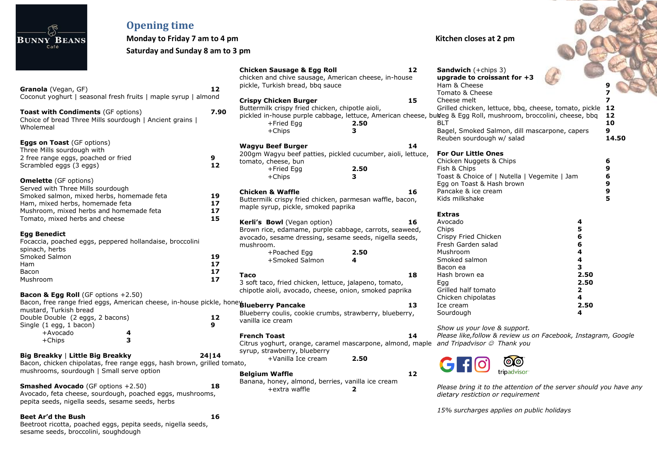|                                                   | <b>Opening time</b>                                                                           |                                  |                                                             |      |    |                                                                                                                 |              |       |
|---------------------------------------------------|-----------------------------------------------------------------------------------------------|----------------------------------|-------------------------------------------------------------|------|----|-----------------------------------------------------------------------------------------------------------------|--------------|-------|
| <b>BUNNY BEANS</b>                                | Monday to Friday 7 am to 4 pm                                                                 |                                  |                                                             |      |    | Kitchen closes at 2 pm                                                                                          |              |       |
| Café                                              |                                                                                               | Saturday and Sunday 8 am to 3 pm |                                                             |      |    |                                                                                                                 |              |       |
|                                                   |                                                                                               |                                  | <b>Chicken Sausage &amp; Egg Roll</b>                       |      | 12 | <b>Sandwich</b> (+chips 3)                                                                                      |              |       |
|                                                   |                                                                                               |                                  | chicken and chive sausage, American cheese, in-house        |      |    | upgrade to croissant for +3                                                                                     |              |       |
| Granola (Vegan, GF)                               |                                                                                               | 12                               | pickle, Turkish bread, bbq sauce                            |      |    | Ham & Cheese                                                                                                    |              |       |
|                                                   | Coconut yoghurt   seasonal fresh fruits   maple syrup   almond                                |                                  |                                                             |      |    | Tomato & Cheese                                                                                                 |              |       |
|                                                   |                                                                                               |                                  | <b>Crispy Chicken Burger</b>                                |      | 15 | Cheese melt                                                                                                     |              |       |
| <b>Toast with Condiments (GF options)</b>         |                                                                                               | 7.90                             | Buttermilk crispy fried chicken, chipotle aioli,            |      |    | Grilled chicken, lettuce, bbq, cheese, tomato, pickle 12                                                        |              |       |
|                                                   | Choice of bread Three Mills sourdough   Ancient grains                                        |                                  |                                                             |      |    | pickled in-house purple cabbage, lettuce, American cheese, bulleg & Egg Roll, mushroom, broccolini, cheese, bbq |              | 12    |
| Wholemeal                                         |                                                                                               |                                  | +Fried Egg                                                  | 2.50 |    | <b>BLT</b>                                                                                                      |              | 10    |
|                                                   |                                                                                               |                                  | $+Chips$                                                    | 3    |    | Bagel, Smoked Salmon, dill mascarpone, capers                                                                   | 9            |       |
| <b>Eggs on Toast (GF options)</b>                 |                                                                                               |                                  |                                                             |      |    | Reuben sourdough w/ salad                                                                                       |              | 14.50 |
| Three Mills sourdough with                        |                                                                                               |                                  | <b>Wagyu Beef Burger</b>                                    |      | 14 |                                                                                                                 |              |       |
| 2 free range eggs, poached or fried               |                                                                                               | 9                                | 200gm Wagyu beef patties, pickled cucumber, aioli, lettuce, |      |    | <b>For Our Little Ones</b>                                                                                      |              |       |
| Scrambled eggs (3 eggs)                           |                                                                                               | 12                               | tomato, cheese, bun                                         |      |    | Chicken Nuggets & Chips                                                                                         | 6            |       |
|                                                   |                                                                                               |                                  | +Fried Egg                                                  | 2.50 |    | Fish & Chips                                                                                                    | 9            |       |
| <b>Omelette</b> (GF options)                      |                                                                                               |                                  | $+Chips$                                                    | 3.   |    | Toast & Choice of   Nutella   Vegemite   Jam                                                                    | 6            |       |
| Served with Three Mills sourdough                 |                                                                                               |                                  |                                                             |      |    | Egg on Toast & Hash brown                                                                                       | 9            |       |
| Smoked salmon, mixed herbs, homemade feta         |                                                                                               | 19                               | <b>Chicken &amp; Waffle</b>                                 |      | 16 | Pancake & ice cream                                                                                             | 9            |       |
| Ham, mixed herbs, homemade feta                   |                                                                                               | 17                               | Buttermilk crispy fried chicken, parmesan waffle, bacon,    |      |    | Kids milkshake                                                                                                  | 5            |       |
| Mushroom, mixed herbs and homemade feta           |                                                                                               | $17$                             | maple syrup, pickle, smoked paprika                         |      |    |                                                                                                                 |              |       |
| Tomato, mixed herbs and cheese                    |                                                                                               | 15                               |                                                             |      |    | <b>Extras</b>                                                                                                   |              |       |
|                                                   |                                                                                               |                                  | Kerli's Bowl (Vegan option)                                 |      | 16 | Avocado                                                                                                         | 4            |       |
| <b>Egg Benedict</b>                               |                                                                                               |                                  | Brown rice, edamame, purple cabbage, carrots, seaweed,      |      |    | Chips                                                                                                           | 5            |       |
|                                                   | Focaccia, poached eggs, peppered hollandaise, broccolini                                      |                                  | avocado, sesame dressing, sesame seeds, nigella seeds,      |      |    | Crispy Fried Chicken                                                                                            |              |       |
| spinach, herbs                                    |                                                                                               |                                  | mushroom.                                                   |      |    | Fresh Garden salad                                                                                              |              |       |
| Smoked Salmon                                     |                                                                                               | 19                               | +Poached Egg                                                | 2.50 |    | Mushroom                                                                                                        |              |       |
| Ham                                               |                                                                                               | 17                               | +Smoked Salmon                                              | 4    |    | Smoked salmon                                                                                                   | 4            |       |
| Bacon                                             |                                                                                               | 17                               |                                                             |      |    | Bacon ea                                                                                                        | 3            |       |
| Mushroom                                          |                                                                                               | 17                               | Taco                                                        |      | 18 | Hash brown ea                                                                                                   | 2.50         |       |
|                                                   |                                                                                               |                                  | 3 soft taco, fried chicken, lettuce, jalapeno, tomato,      |      |    | Egg                                                                                                             | 2.50         |       |
| <b>Bacon &amp; Egg Roll</b> (GF options $+2.50$ ) |                                                                                               |                                  | chipotle aioli, avocado, cheese, onion, smoked paprika      |      |    | Grilled half tomato                                                                                             | $\mathbf{2}$ |       |
|                                                   | Bacon, free range fried eggs, American cheese, in-house pickle, hone <b>Blueberry Pancake</b> |                                  |                                                             |      |    | Chicken chipolatas                                                                                              | 4            |       |
| mustard, Turkish bread                            |                                                                                               |                                  |                                                             |      | 13 | Ice cream                                                                                                       | 2.50         |       |
| Double Double (2 eggs, 2 bacons)                  |                                                                                               | 12                               | Blueberry coulis, cookie crumbs, strawberry, blueberry,     |      |    | Sourdough                                                                                                       | 4            |       |
| Single (1 egg, 1 bacon)                           |                                                                                               | 9                                | vanilla ice cream                                           |      |    |                                                                                                                 |              |       |
| +Avocado                                          |                                                                                               |                                  |                                                             |      |    | Show us your love & support.                                                                                    |              |       |
| $+Chips$                                          | 3                                                                                             |                                  | <b>French Toast</b>                                         |      | 14 | Please like, follow & review us on Facebook, Instagram, Google                                                  |              |       |
|                                                   |                                                                                               |                                  |                                                             |      |    | Citrus yoghurt, orange, caramel mascarpone, almond, maple and Tripadvisor @ Thank you                           |              |       |
| Big Breakky   Little Big Breakky                  |                                                                                               | 24 14                            | syrup, strawberry, blueberry                                |      |    |                                                                                                                 |              |       |
|                                                   | Bacon, chicken chipolatas, free range eggs, hash brown, grilled tomato,                       |                                  | +Vanilla Ice cream                                          | 2.50 |    | @@                                                                                                              |              |       |
| mushrooms, sourdough   Small serve option         |                                                                                               |                                  |                                                             |      |    | tripadvisor <sup>®</sup>                                                                                        |              |       |
|                                                   |                                                                                               |                                  | <b>Belgium Waffle</b>                                       |      | 12 |                                                                                                                 |              |       |
| <b>Smashed Avocado</b> (GF options +2.50)         |                                                                                               | 18                               | Banana, honey, almond, berries, vanilla ice cream           |      |    | Please bring it to the attention of the server should you have any                                              |              |       |
|                                                   | Avocado, feta cheese, sourdough, poached eggs, mushrooms,                                     |                                  | +extra waffle                                               | 2    |    | dietary restiction or requirement                                                                               |              |       |
| pepita seeds, nigella seeds, sesame seeds, herbs  |                                                                                               |                                  |                                                             |      |    |                                                                                                                 |              |       |
|                                                   |                                                                                               |                                  |                                                             |      |    | 15% surcharges applies on public holidays                                                                       |              |       |
| <b>Beet Ar'd the Bush</b>                         |                                                                                               | 16                               |                                                             |      |    |                                                                                                                 |              |       |
|                                                   | Beetroot ricotta, poached eggs, pepita seeds, nigella seeds,                                  |                                  |                                                             |      |    |                                                                                                                 |              |       |
| sesame seeds, broccolini, soughdough              |                                                                                               |                                  |                                                             |      |    |                                                                                                                 |              |       |

ś